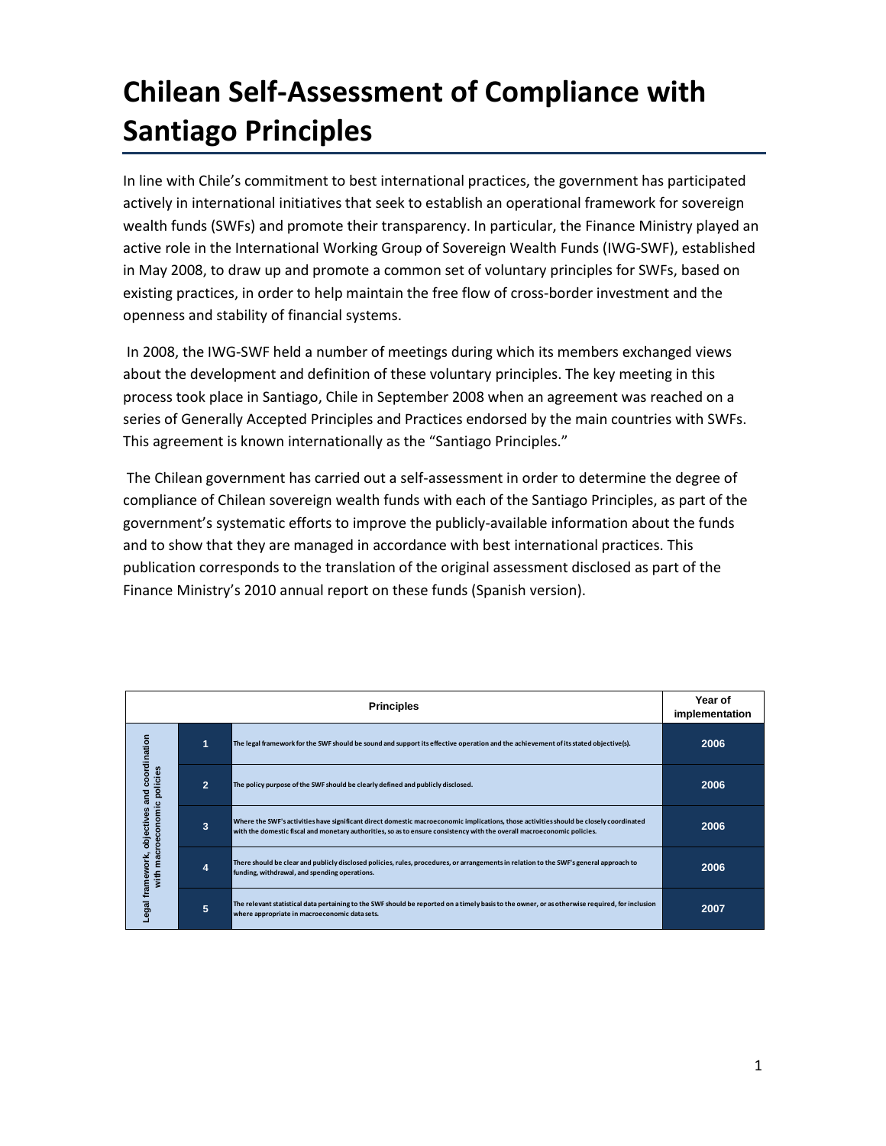# **Chilean Self-Assessment of Compliance with Santiago Principles**

In line with Chile's commitment to best international practices, the government has participated actively in international initiatives that seek to establish an operational framework for sovereign wealth funds (SWFs) and promote their transparency. In particular, the Finance Ministry played an active role in the International Working Group of Sovereign Wealth Funds (IWG-SWF), established in May 2008, to draw up and promote a common set of voluntary principles for SWFs, based on existing practices, in order to help maintain the free flow of cross-border investment and the openness and stability of financial systems.

In 2008, the IWG-SWF held a number of meetings during which its members exchanged views about the development and definition of these voluntary principles. The key meeting in this process took place in Santiago, Chile in September 2008 when an agreement was reached on a series of Generally Accepted Principles and Practices endorsed by the main countries with SWFs. This agreement is known internationally as the "Santiago Principles."

The Chilean government has carried out a self-assessment in order to determine the degree of compliance of Chilean sovereign wealth funds with each of the Santiago Principles, as part of the government's systematic efforts to improve the publicly-available information about the funds and to show that they are managed in accordance with best international practices. This publication corresponds to the translation of the original assessment disclosed as part of the Finance Ministry's 2010 annual report on these funds (Spanish version).

|                                                                                            | Year of<br>implementation |                                                                                                                                                                                                                                                                   |      |
|--------------------------------------------------------------------------------------------|---------------------------|-------------------------------------------------------------------------------------------------------------------------------------------------------------------------------------------------------------------------------------------------------------------|------|
| coordination<br>licies<br>힡<br>and<br>with macroeconomic<br>objectives<br>Legal framework, | 1                         | The legal framework for the SWF should be sound and support its effective operation and the achievement of its stated objective(s).                                                                                                                               | 2006 |
|                                                                                            | $\overline{2}$            | The policy purpose of the SWF should be clearly defined and publicly disclosed.                                                                                                                                                                                   | 2006 |
|                                                                                            | 3                         | Where the SWF's activities have significant direct domestic macroeconomic implications, those activities should be closely coordinated<br>with the domestic fiscal and monetary authorities, so as to ensure consistency with the overall macroeconomic policies. | 2006 |
|                                                                                            | 4                         | There should be clear and publicly disclosed policies, rules, procedures, or arrangements in relation to the SWF's general approach to<br>funding, withdrawal, and spending operations.                                                                           | 2006 |
|                                                                                            | 5                         | The relevant statistical data pertaining to the SWF should be reported on a timely basis to the owner, or as otherwise required, for inclusion<br>where appropriate in macroeconomic data sets.                                                                   | 2007 |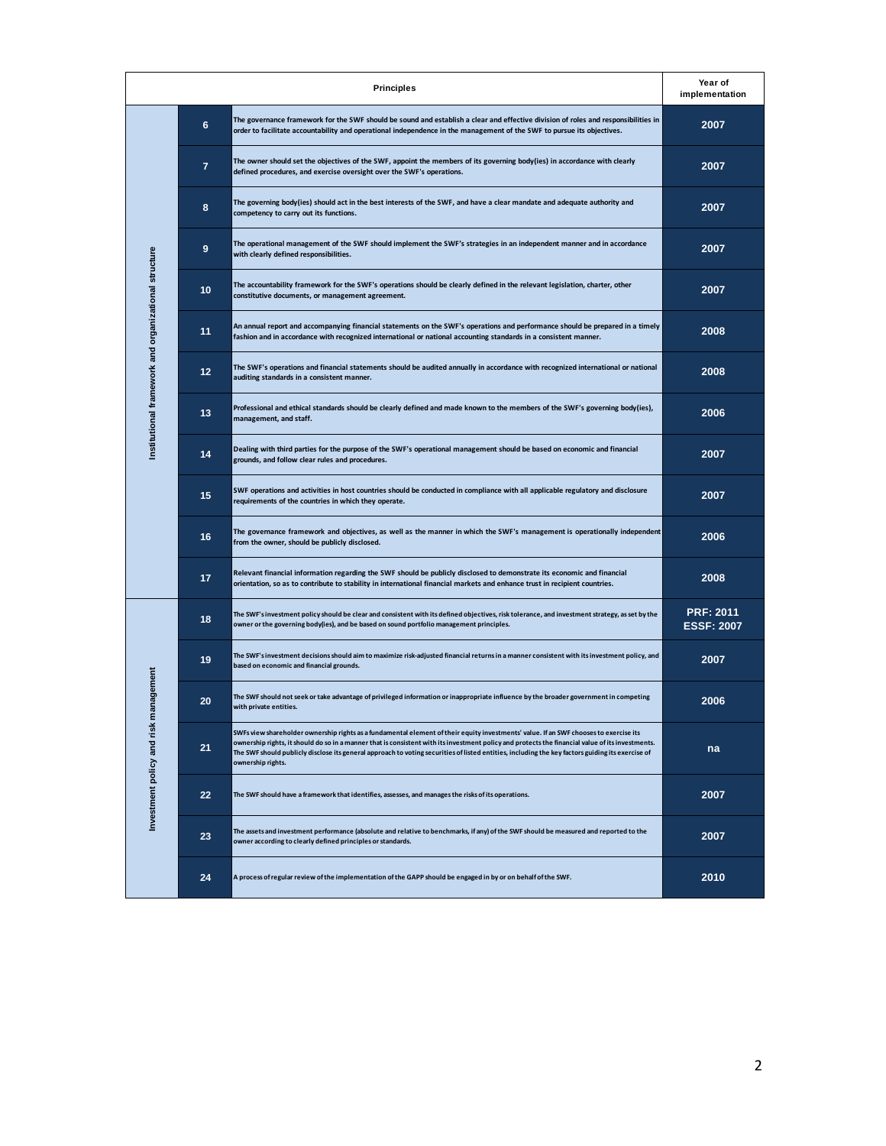| <b>Principles</b>                                    |                 |                                                                                                                                                                                                                                                                                                                                                                                                                                                                    |                                       |
|------------------------------------------------------|-----------------|--------------------------------------------------------------------------------------------------------------------------------------------------------------------------------------------------------------------------------------------------------------------------------------------------------------------------------------------------------------------------------------------------------------------------------------------------------------------|---------------------------------------|
| Institutional framework and organizational structure | 6               | The governance framework for the SWF should be sound and establish a clear and effective division of roles and responsibilities in<br>order to facilitate accountability and operational independence in the management of the SWF to pursue its objectives.                                                                                                                                                                                                       | 2007                                  |
|                                                      | $\overline{7}$  | The owner should set the objectives of the SWF, appoint the members of its governing body(ies) in accordance with clearly<br>defined procedures, and exercise oversight over the SWF's operations.                                                                                                                                                                                                                                                                 | 2007                                  |
|                                                      | 8               | The governing body(ies) should act in the best interests of the SWF, and have a clear mandate and adequate authority and<br>competency to carry out its functions.                                                                                                                                                                                                                                                                                                 | 2007                                  |
|                                                      | 9               | The operational management of the SWF should implement the SWF's strategies in an independent manner and in accordance<br>with clearly defined responsibilities.                                                                                                                                                                                                                                                                                                   | 2007                                  |
|                                                      | 10              | The accountability framework for the SWF's operations should be clearly defined in the relevant legislation, charter, other<br>constitutive documents, or management agreement.                                                                                                                                                                                                                                                                                    | 2007                                  |
|                                                      | 11              | An annual report and accompanying financial statements on the SWF's operations and performance should be prepared in a timely<br>fashion and in accordance with recognized international or national accounting standards in a consistent manner.                                                                                                                                                                                                                  | 2008                                  |
|                                                      | 12 <sub>2</sub> | The SWF's operations and financial statements should be audited annually in accordance with recognized international or national<br>auditing standards in a consistent manner.                                                                                                                                                                                                                                                                                     | 2008                                  |
|                                                      | 13              | Professional and ethical standards should be clearly defined and made known to the members of the SWF's governing body(ies),<br>management, and staff.                                                                                                                                                                                                                                                                                                             | 2006                                  |
|                                                      | 14              | Dealing with third parties for the purpose of the SWF's operational management should be based on economic and financial<br>grounds, and follow clear rules and procedures.                                                                                                                                                                                                                                                                                        | 2007                                  |
|                                                      | 15              | SWF operations and activities in host countries should be conducted in compliance with all applicable regulatory and disclosure<br>requirements of the countries in which they operate.                                                                                                                                                                                                                                                                            | 2007                                  |
|                                                      | 16              | The governance framework and objectives, as well as the manner in which the SWF's management is operationally independent<br>from the owner, should be publicly disclosed.                                                                                                                                                                                                                                                                                         | 2006                                  |
|                                                      | 17              | Relevant financial information regarding the SWF should be publicly disclosed to demonstrate its economic and financial<br>orientation, so as to contribute to stability in international financial markets and enhance trust in recipient countries.                                                                                                                                                                                                              | 2008                                  |
| management<br>Investment policy and risk             | 18              | The SWF's investment policy should be clear and consistent with its defined objectives, risk tolerance, and investment strategy, as set by the<br>owner or the governing body(ies), and be based on sound portfolio management principles.                                                                                                                                                                                                                         | <b>PRF: 2011</b><br><b>ESSF: 2007</b> |
|                                                      | 19              | The SWF's investment decisions should aim to maximize risk-adjusted financial returns in a manner consistent with its investment policy, and<br>based on economic and financial grounds.                                                                                                                                                                                                                                                                           | 2007                                  |
|                                                      | 20              | The SWF should not seek or take advantage of privileged information or inappropriate influence by the broader government in competing<br>with private entities.                                                                                                                                                                                                                                                                                                    | 2006                                  |
|                                                      | 21              | SWFs view shareholder ownership rights as a fundamental element of their equity investments' value. If an SWF chooses to exercise its<br>ownership rights, it should do so in a manner that is consistent with its investment policy and protects the financial value of its investments.<br>The SWF should publicly disclose its general approach to voting securities of listed entities, including the key factors guiding its exercise of<br>ownership rights. | na                                    |
|                                                      | 22              | The SWF should have a framework that identifies, assesses, and manages the risks of its operations.                                                                                                                                                                                                                                                                                                                                                                | 2007                                  |
|                                                      | 23              | The assets and investment performance (absolute and relative to benchmarks, if any) of the SWF should be measured and reported to the<br>owner according to clearly defined principles or standards.                                                                                                                                                                                                                                                               | 2007                                  |
|                                                      | 24              | A process of regular review of the implementation of the GAPP should be engaged in by or on behalf of the SWF.                                                                                                                                                                                                                                                                                                                                                     | 2010                                  |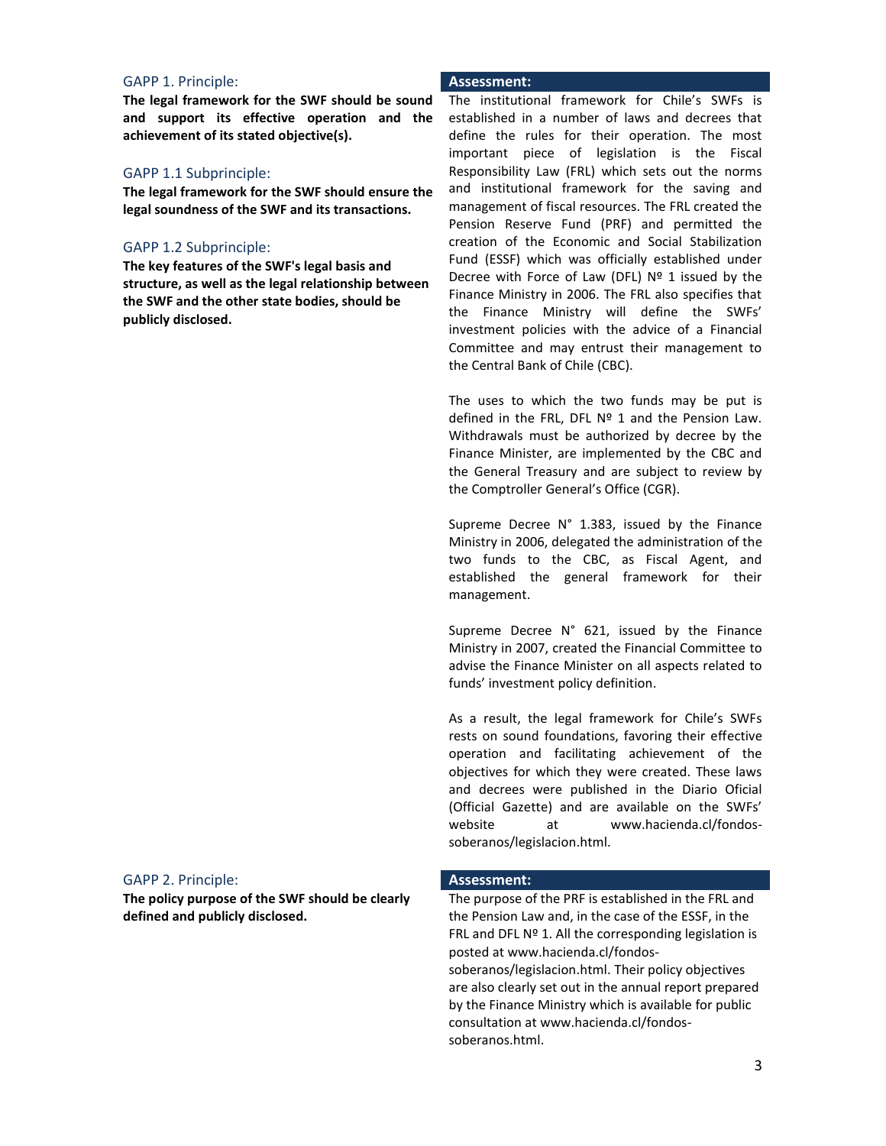# GAPP 1. Principle: **Assessment:**

**The legal framework for the SWF should be sound and support its effective operation and the achievement of its stated objective(s).**

### GAPP 1.1 Subprinciple:

**The legal framework for the SWF should ensure the legal soundness of the SWF and its transactions.**

# GAPP 1.2 Subprinciple:

**The key features of the SWF's legal basis and structure, as well as the legal relationship between the SWF and the other state bodies, should be publicly disclosed.**

The institutional framework for Chile's SWFs is established in a number of laws and decrees that define the rules for their operation. The most important piece of legislation is the Fiscal Responsibility Law (FRL) which sets out the norms and institutional framework for the saving and management of fiscal resources. The FRL created the Pension Reserve Fund (PRF) and permitted the creation of the Economic and Social Stabilization Fund (ESSF) which was officially established under Decree with Force of Law (DFL)  $N^{\circ}$  1 issued by the Finance Ministry in 2006. The FRL also specifies that the Finance Ministry will define the SWFs' investment policies with the advice of a Financial Committee and may entrust their management to the Central Bank of Chile (CBC).

The uses to which the two funds may be put is defined in the FRL, DFL Nº 1 and the Pension Law. Withdrawals must be authorized by decree by the Finance Minister, are implemented by the CBC and the General Treasury and are subject to review by the Comptroller General's Office (CGR).

Supreme Decree N° 1.383, issued by the Finance Ministry in 2006, delegated the administration of the two funds to the CBC, as Fiscal Agent, and established the general framework for their management.

Supreme Decree N° 621, issued by the Finance Ministry in 2007, created the Financial Committee to advise the Finance Minister on all aspects related to funds' investment policy definition.

As a result, the legal framework for Chile's SWFs rests on sound foundations, favoring their effective operation and facilitating achievement of the objectives for which they were created. These laws and decrees were published in the Diario Oficial (Official Gazette) and are available on the SWFs' website at www.hacienda.cl/fondossoberanos/legislacion.html.

### GAPP 2. Principle: **Assessment:**

**The policy purpose of the SWF should be clearly defined and publicly disclosed.**

The purpose of the PRF is established in the FRL and the Pension Law and, in the case of the ESSF, in the FRL and DFL  $N<sup>o</sup>$  1. All the corresponding legislation is posted at www.hacienda.cl/fondossoberanos/legislacion.html. Their policy objectives are also clearly set out in the annual report prepared by the Finance Ministry which is available for public consultation at www.hacienda.cl/fondossoberanos.html.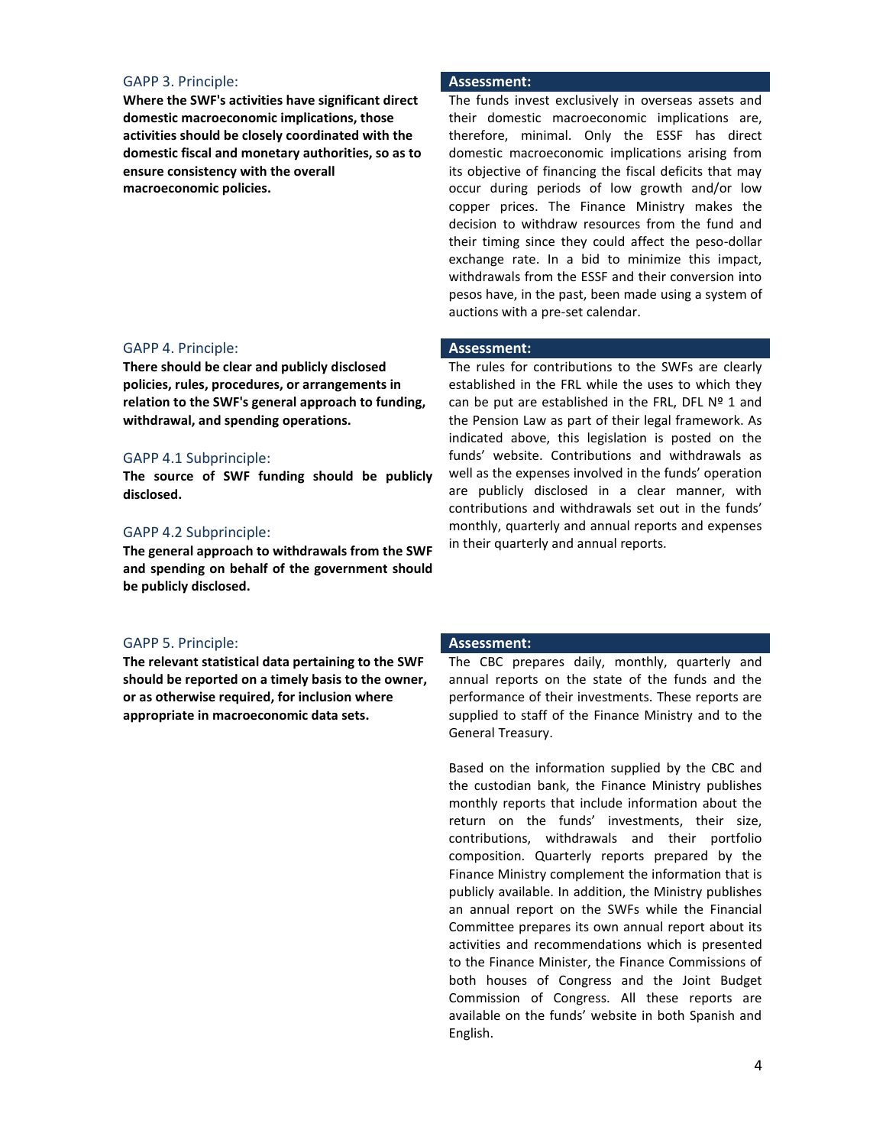# GAPP 3. Principle: **Assessment:**

**Where the SWF's activities have significant direct domestic macroeconomic implications, those activities should be closely coordinated with the domestic fiscal and monetary authorities, so as to ensure consistency with the overall macroeconomic policies.**

# GAPP 4. Principle: **Assessment:**

**There should be clear and publicly disclosed policies, rules, procedures, or arrangements in relation to the SWF's general approach to funding, withdrawal, and spending operations.**

# GAPP 4.1 Subprinciple:

**The source of SWF funding should be publicly disclosed.**

# GAPP 4.2 Subprinciple:

**The general approach to withdrawals from the SWF and spending on behalf of the government should be publicly disclosed.**

### GAPP 5. Principle: **Assessment:**

**The relevant statistical data pertaining to the SWF should be reported on a timely basis to the owner, or as otherwise required, for inclusion where appropriate in macroeconomic data sets.**

The funds invest exclusively in overseas assets and their domestic macroeconomic implications are, therefore, minimal. Only the ESSF has direct domestic macroeconomic implications arising from its objective of financing the fiscal deficits that may occur during periods of low growth and/or low copper prices. The Finance Ministry makes the decision to withdraw resources from the fund and their timing since they could affect the peso-dollar exchange rate. In a bid to minimize this impact, withdrawals from the ESSF and their conversion into pesos have, in the past, been made using a system of auctions with a pre-set calendar.

The rules for contributions to the SWFs are clearly established in the FRL while the uses to which they can be put are established in the FRL, DFL Nº 1 and the Pension Law as part of their legal framework. As indicated above, this legislation is posted on the funds' website. Contributions and withdrawals as well as the expenses involved in the funds' operation are publicly disclosed in a clear manner, with contributions and withdrawals set out in the funds' monthly, quarterly and annual reports and expenses in their quarterly and annual reports.

The CBC prepares daily, monthly, quarterly and annual reports on the state of the funds and the performance of their investments. These reports are supplied to staff of the Finance Ministry and to the General Treasury.

Based on the information supplied by the CBC and the custodian bank, the Finance Ministry publishes monthly reports that include information about the return on the funds' investments, their size, contributions, withdrawals and their portfolio composition. Quarterly reports prepared by the Finance Ministry complement the information that is publicly available. In addition, the Ministry publishes an annual report on the SWFs while the Financial Committee prepares its own annual report about its activities and recommendations which is presented to the Finance Minister, the Finance Commissions of both houses of Congress and the Joint Budget Commission of Congress. All these reports are available on the funds' website in both Spanish and English.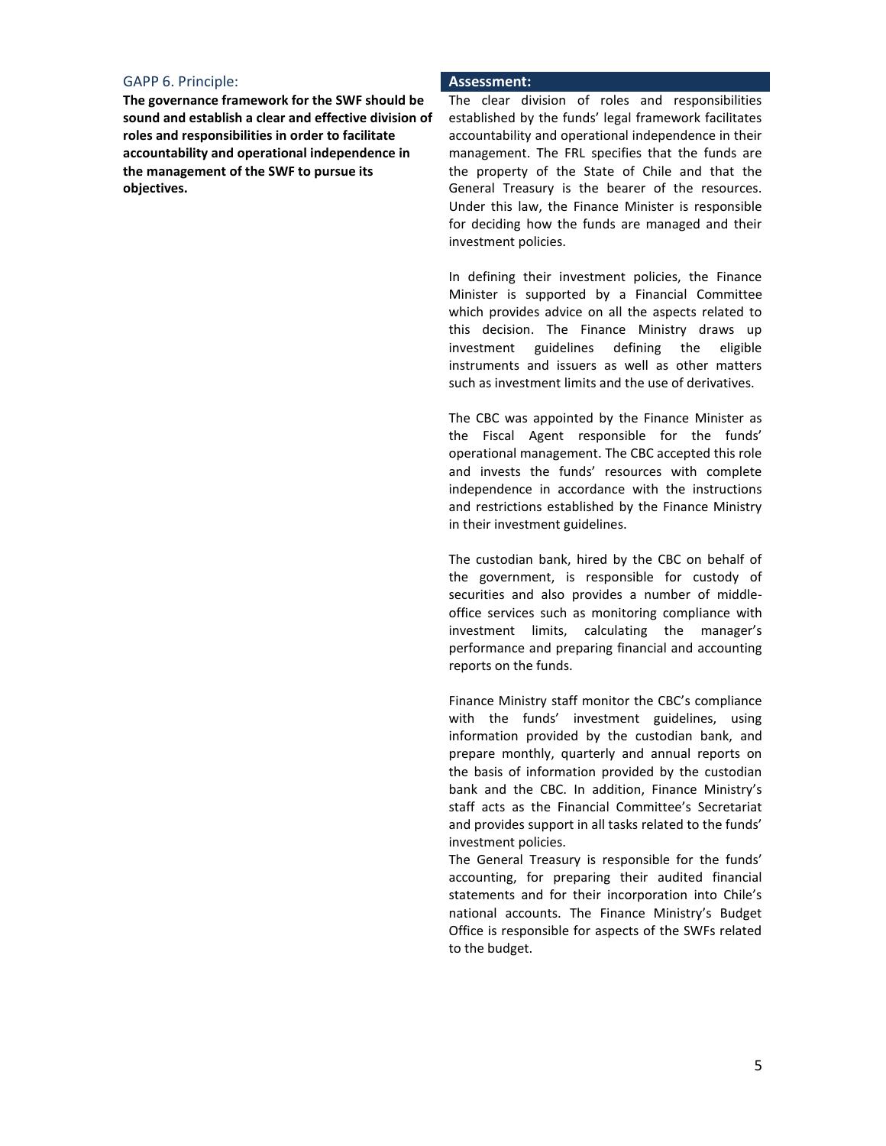# GAPP 6. Principle: **Assessment:**

**The governance framework for the SWF should be sound and establish a clear and effective division of roles and responsibilities in order to facilitate accountability and operational independence in the management of the SWF to pursue its objectives.**

The clear division of roles and responsibilities established by the funds' legal framework facilitates accountability and operational independence in their management. The FRL specifies that the funds are the property of the State of Chile and that the General Treasury is the bearer of the resources. Under this law, the Finance Minister is responsible for deciding how the funds are managed and their investment policies.

In defining their investment policies, the Finance Minister is supported by a Financial Committee which provides advice on all the aspects related to this decision. The Finance Ministry draws up investment guidelines defining the eligible instruments and issuers as well as other matters such as investment limits and the use of derivatives.

The CBC was appointed by the Finance Minister as the Fiscal Agent responsible for the funds' operational management. The CBC accepted this role and invests the funds' resources with complete independence in accordance with the instructions and restrictions established by the Finance Ministry in their investment guidelines.

The custodian bank, hired by the CBC on behalf of the government, is responsible for custody of securities and also provides a number of middleoffice services such as monitoring compliance with investment limits, calculating the manager's performance and preparing financial and accounting reports on the funds.

Finance Ministry staff monitor the CBC's compliance with the funds' investment guidelines, using information provided by the custodian bank, and prepare monthly, quarterly and annual reports on the basis of information provided by the custodian bank and the CBC. In addition, Finance Ministry's staff acts as the Financial Committee's Secretariat and provides support in all tasks related to the funds' investment policies.

The General Treasury is responsible for the funds' accounting, for preparing their audited financial statements and for their incorporation into Chile's national accounts. The Finance Ministry's Budget Office is responsible for aspects of the SWFs related to the budget.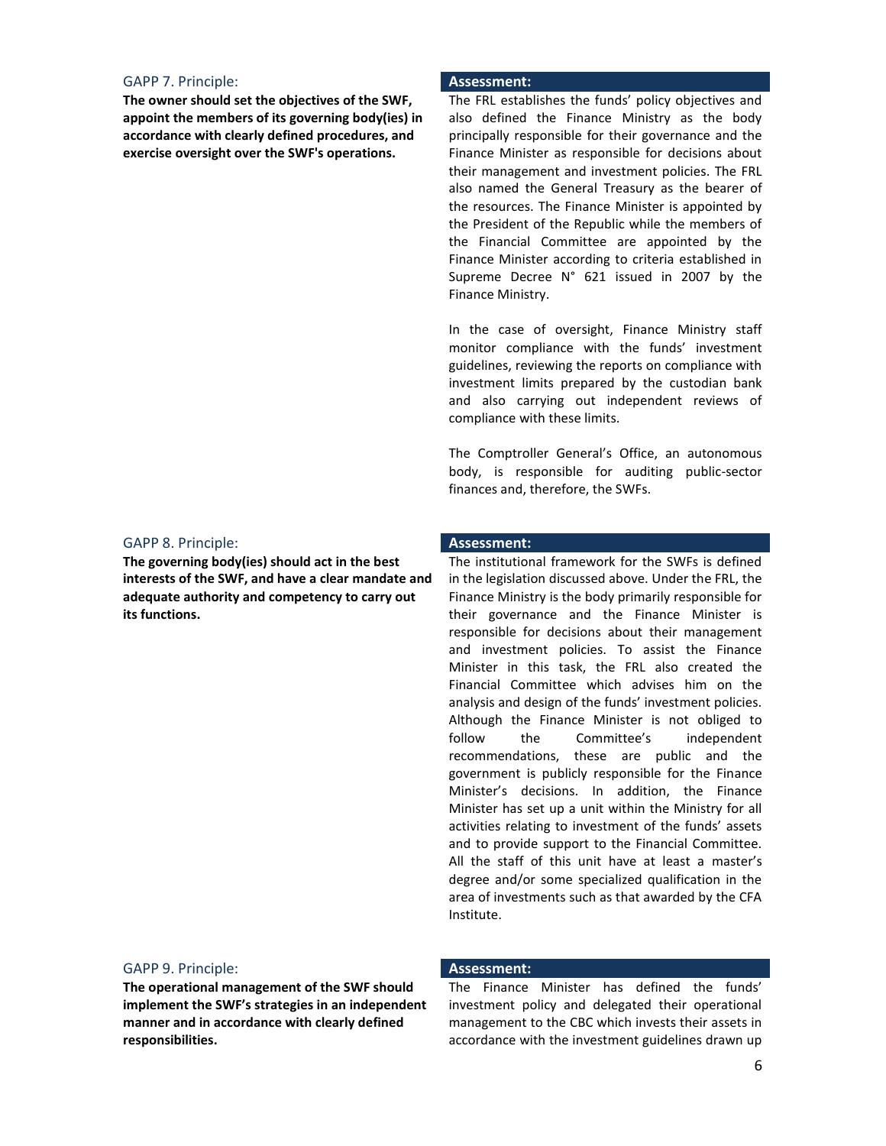# GAPP 7. Principle: **Assessment:**

**The owner should set the objectives of the SWF, appoint the members of its governing body(ies) in accordance with clearly defined procedures, and exercise oversight over the SWF's operations.**

# GAPP 8. Principle: **Assessment:**

**The governing body(ies) should act in the best interests of the SWF, and have a clear mandate and adequate authority and competency to carry out its functions.**

The FRL establishes the funds' policy objectives and also defined the Finance Ministry as the body principally responsible for their governance and the Finance Minister as responsible for decisions about their management and investment policies. The FRL also named the General Treasury as the bearer of the resources. The Finance Minister is appointed by the President of the Republic while the members of the Financial Committee are appointed by the Finance Minister according to criteria established in Supreme Decree N° 621 issued in 2007 by the Finance Ministry.

In the case of oversight, Finance Ministry staff monitor compliance with the funds' investment guidelines, reviewing the reports on compliance with investment limits prepared by the custodian bank and also carrying out independent reviews of compliance with these limits.

The Comptroller General's Office, an autonomous body, is responsible for auditing public-sector finances and, therefore, the SWFs.

The institutional framework for the SWFs is defined in the legislation discussed above. Under the FRL, the Finance Ministry is the body primarily responsible for their governance and the Finance Minister is responsible for decisions about their management and investment policies. To assist the Finance Minister in this task, the FRL also created the Financial Committee which advises him on the analysis and design of the funds' investment policies. Although the Finance Minister is not obliged to follow the Committee's independent recommendations, these are public and the government is publicly responsible for the Finance Minister's decisions. In addition, the Finance Minister has set up a unit within the Ministry for all activities relating to investment of the funds' assets and to provide support to the Financial Committee. All the staff of this unit have at least a master's degree and/or some specialized qualification in the area of investments such as that awarded by the CFA Institute.

# GAPP 9. Principle: **Assessment:**

**The operational management of the SWF should implement the SWF's strategies in an independent manner and in accordance with clearly defined responsibilities.**

The Finance Minister has defined the funds' investment policy and delegated their operational management to the CBC which invests their assets in accordance with the investment guidelines drawn up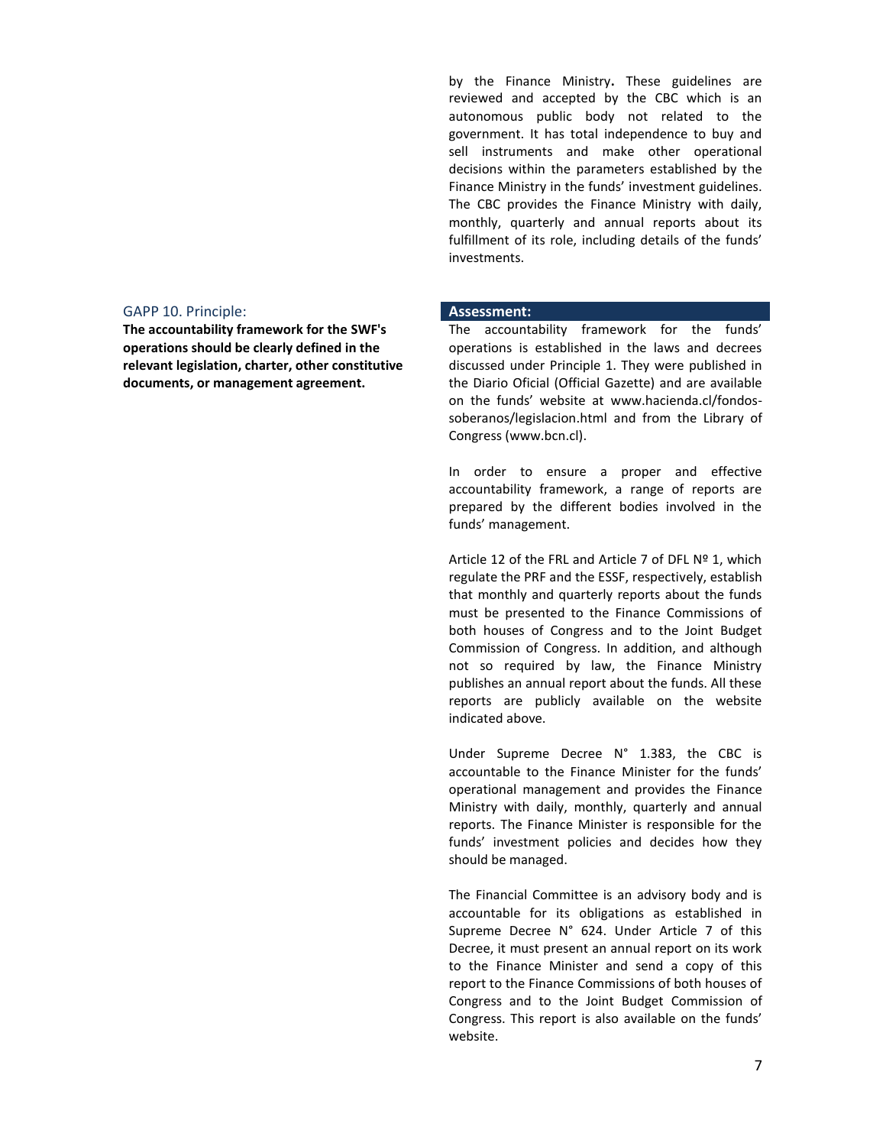# GAPP 10. Principle: **Assessment:**

**The accountability framework for the SWF's operations should be clearly defined in the relevant legislation, charter, other constitutive documents, or management agreement.**

by the Finance Ministry**.** These guidelines are reviewed and accepted by the CBC which is an autonomous public body not related to the government. It has total independence to buy and sell instruments and make other operational decisions within the parameters established by the Finance Ministry in the funds' investment guidelines. The CBC provides the Finance Ministry with daily, monthly, quarterly and annual reports about its fulfillment of its role, including details of the funds' investments.

The accountability framework for the funds' operations is established in the laws and decrees discussed under Principle 1. They were published in the Diario Oficial (Official Gazette) and are available on the funds' website at www.hacienda.cl/fondossoberanos/legislacion.html and from the Library of Congress (www.bcn.cl).

In order to ensure a proper and effective accountability framework, a range of reports are prepared by the different bodies involved in the funds' management.

Article 12 of the FRL and Article 7 of DFL Nº 1, which regulate the PRF and the ESSF, respectively, establish that monthly and quarterly reports about the funds must be presented to the Finance Commissions of both houses of Congress and to the Joint Budget Commission of Congress. In addition, and although not so required by law, the Finance Ministry publishes an annual report about the funds. All these reports are publicly available on the website indicated above.

Under Supreme Decree N° 1.383, the CBC is accountable to the Finance Minister for the funds' operational management and provides the Finance Ministry with daily, monthly, quarterly and annual reports. The Finance Minister is responsible for the funds' investment policies and decides how they should be managed.

The Financial Committee is an advisory body and is accountable for its obligations as established in Supreme Decree N° 624. Under Article 7 of this Decree, it must present an annual report on its work to the Finance Minister and send a copy of this report to the Finance Commissions of both houses of Congress and to the Joint Budget Commission of Congress. This report is also available on the funds' website.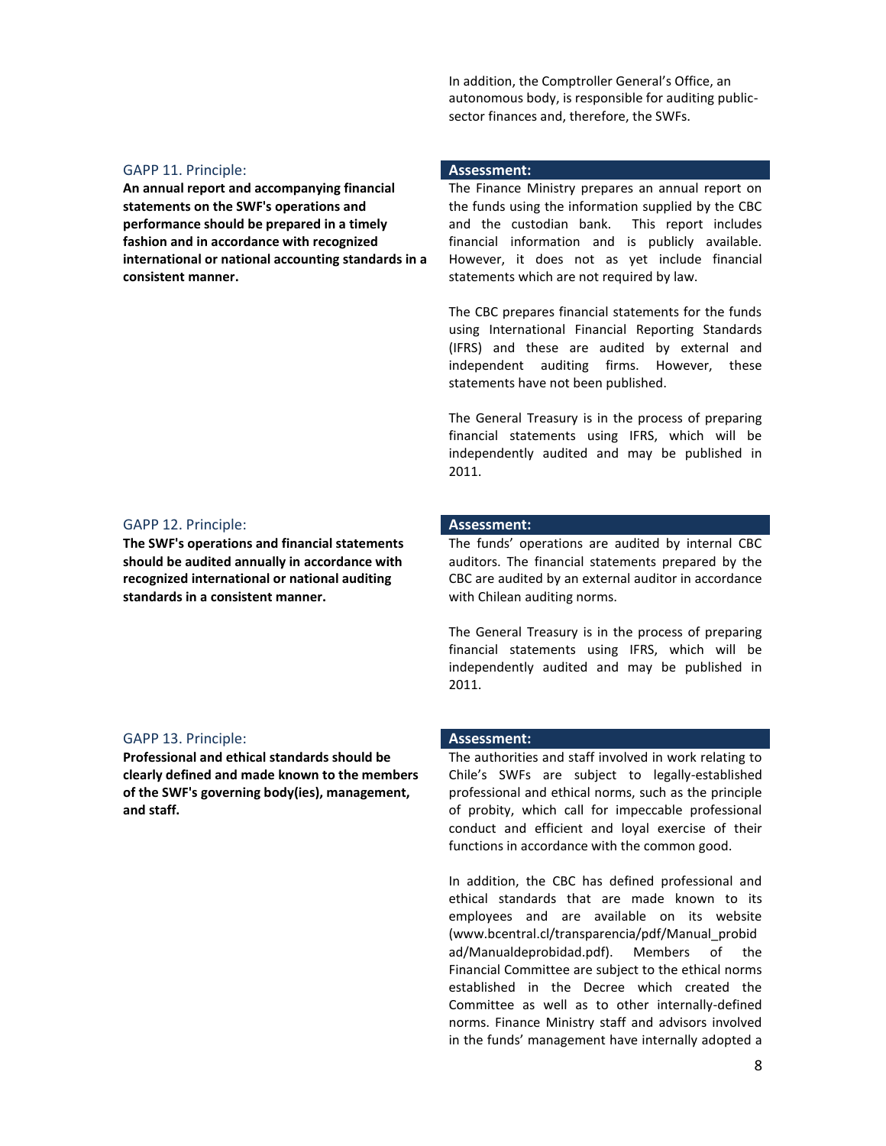In addition, the Comptroller General's Office, an autonomous body, is responsible for auditing publicsector finances and, therefore, the SWFs.

# GAPP 11. Principle: **Assessment:**

**An annual report and accompanying financial statements on the SWF's operations and performance should be prepared in a timely fashion and in accordance with recognized international or national accounting standards in a consistent manner.**

# GAPP 12. Principle: **Assessment:**

**The SWF's operations and financial statements should be audited annually in accordance with recognized international or national auditing standards in a consistent manner.**

# GAPP 13. Principle: **Assessment:**

**Professional and ethical standards should be clearly defined and made known to the members of the SWF's governing body(ies), management, and staff.**

The Finance Ministry prepares an annual report on the funds using the information supplied by the CBC and the custodian bank. This report includes financial information and is publicly available. However, it does not as yet include financial statements which are not required by law.

The CBC prepares financial statements for the funds using International Financial Reporting Standards (IFRS) and these are audited by external and independent auditing firms. However, these statements have not been published.

The General Treasury is in the process of preparing financial statements using IFRS, which will be independently audited and may be published in 2011.

The funds' operations are audited by internal CBC auditors. The financial statements prepared by the CBC are audited by an external auditor in accordance with Chilean auditing norms.

The General Treasury is in the process of preparing financial statements using IFRS, which will be independently audited and may be published in 2011.

The authorities and staff involved in work relating to Chile's SWFs are subject to legally-established professional and ethical norms, such as the principle of probity, which call for impeccable professional conduct and efficient and loyal exercise of their functions in accordance with the common good.

In addition, the CBC has defined professional and ethical standards that are made known to its employees and are available on its website (www.bcentral.cl/transparencia/pdf/Manual\_probid ad/Manualdeprobidad.pdf). Members of the Financial Committee are subject to the ethical norms established in the Decree which created the Committee as well as to other internally-defined norms. Finance Ministry staff and advisors involved in the funds' management have internally adopted a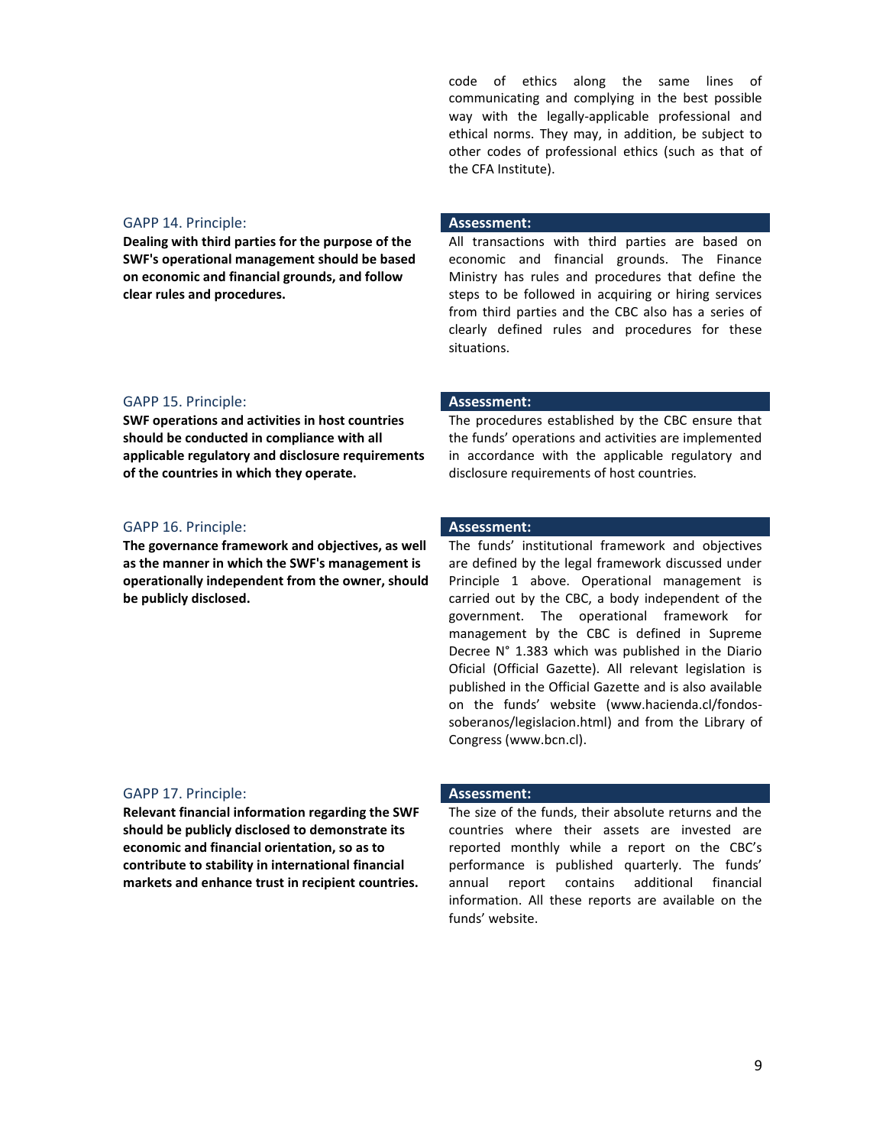code of ethics along the same lines of communicating and complying in the best possible way with the legally-applicable professional and ethical norms. They may, in addition, be subject to other codes of professional ethics (such as that of the CFA Institute).

# GAPP 14. Principle: **Assessment:**

**Dealing with third parties for the purpose of the SWF's operational management should be based on economic and financial grounds, and follow clear rules and procedures.**

# GAPP 15. Principle: **Assessment:**

**SWF operations and activities in host countries should be conducted in compliance with all applicable regulatory and disclosure requirements of the countries in which they operate.**

# GAPP 16. Principle: **Assessment:**

**The governance framework and objectives, as well as the manner in which the SWF's management is operationally independent from the owner, should be publicly disclosed.**

All transactions with third parties are based on economic and financial grounds. The Finance Ministry has rules and procedures that define the steps to be followed in acquiring or hiring services from third parties and the CBC also has a series of clearly defined rules and procedures for these situations.

The procedures established by the CBC ensure that the funds' operations and activities are implemented in accordance with the applicable regulatory and disclosure requirements of host countries.

The funds' institutional framework and objectives are defined by the legal framework discussed under Principle 1 above. Operational management is carried out by the CBC, a body independent of the government. The operational framework for management by the CBC is defined in Supreme Decree N° 1.383 which was published in the Diario Oficial (Official Gazette). All relevant legislation is published in the Official Gazette and is also available on the funds' website (www.hacienda.cl/fondossoberanos/legislacion.html) and from the Library of Congress [\(www.bcn.cl\)](http://www.bcn.cl/).

# GAPP 17. Principle: **Assessment:**

**Relevant financial information regarding the SWF should be publicly disclosed to demonstrate its economic and financial orientation, so as to contribute to stability in international financial markets and enhance trust in recipient countries.**

The size of the funds, their absolute returns and the countries where their assets are invested are reported monthly while a report on the CBC's performance is published quarterly. The funds' annual report contains additional financial information. All these reports are available on the funds' website.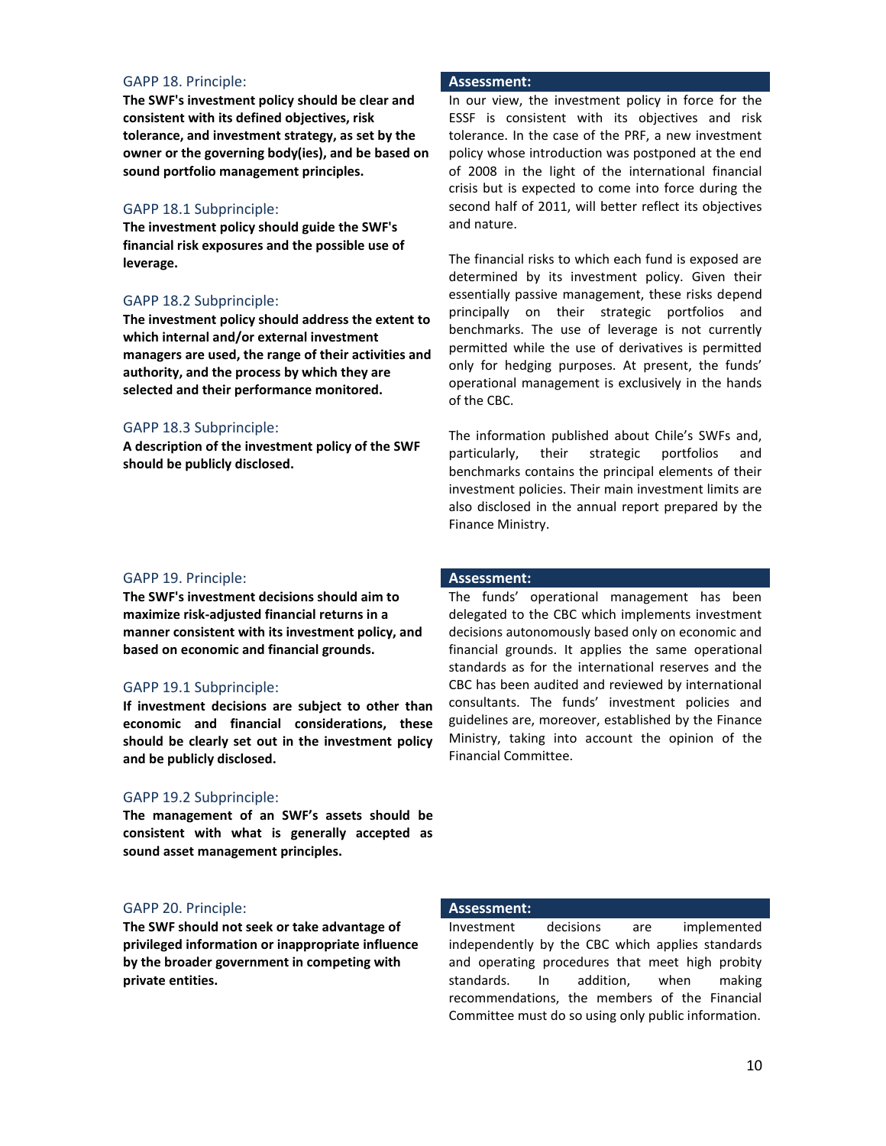# GAPP 18. Principle: **Assessment:**

**The SWF's investment policy should be clear and consistent with its defined objectives, risk tolerance, and investment strategy, as set by the owner or the governing body(ies), and be based on sound portfolio management principles.** 

# GAPP 18.1 Subprinciple:

**The investment policy should guide the SWF's financial risk exposures and the possible use of leverage.** 

# GAPP 18.2 Subprinciple:

**The investment policy should address the extent to which internal and/or external investment managers are used, the range of their activities and authority, and the process by which they are selected and their performance monitored.**

# GAPP 18.3 Subprinciple:

**A description of the investment policy of the SWF should be publicly disclosed.** 

In our view, the investment policy in force for the ESSF is consistent with its objectives and risk tolerance. In the case of the PRF, a new investment policy whose introduction was postponed at the end of 2008 in the light of the international financial crisis but is expected to come into force during the second half of 2011, will better reflect its objectives and nature.

The financial risks to which each fund is exposed are determined by its investment policy. Given their essentially passive management, these risks depend principally on their strategic portfolios and benchmarks. The use of leverage is not currently permitted while the use of derivatives is permitted only for hedging purposes. At present, the funds' operational management is exclusively in the hands of the CBC.

The information published about Chile's SWFs and, particularly, their strategic portfolios and benchmarks contains the principal elements of their investment policies. Their main investment limits are also disclosed in the annual report prepared by the Finance Ministry.

### GAPP 19. Principle: **Assessment:**

**The SWF's investment decisions should aim to maximize risk-adjusted financial returns in a manner consistent with its investment policy, and based on economic and financial grounds.** 

# GAPP 19.1 Subprinciple:

**If investment decisions are subject to other than economic and financial considerations, these should be clearly set out in the investment policy and be publicly disclosed.** 

# GAPP 19.2 Subprinciple:

**The management of an SWF's assets should be consistent with what is generally accepted as sound asset management principles.** 

# GAPP 20. Principle: **Assessment:**

**The SWF should not seek or take advantage of privileged information or inappropriate influence by the broader government in competing with private entities.**

The funds' operational management has been delegated to the CBC which implements investment decisions autonomously based only on economic and financial grounds. It applies the same operational standards as for the international reserves and the CBC has been audited and reviewed by international consultants. The funds' investment policies and guidelines are, moreover, established by the Finance Ministry, taking into account the opinion of the Financial Committee.

Investment decisions are implemented independently by the CBC which applies standards and operating procedures that meet high probity standards. In addition, when making recommendations, the members of the Financial Committee must do so using only public information.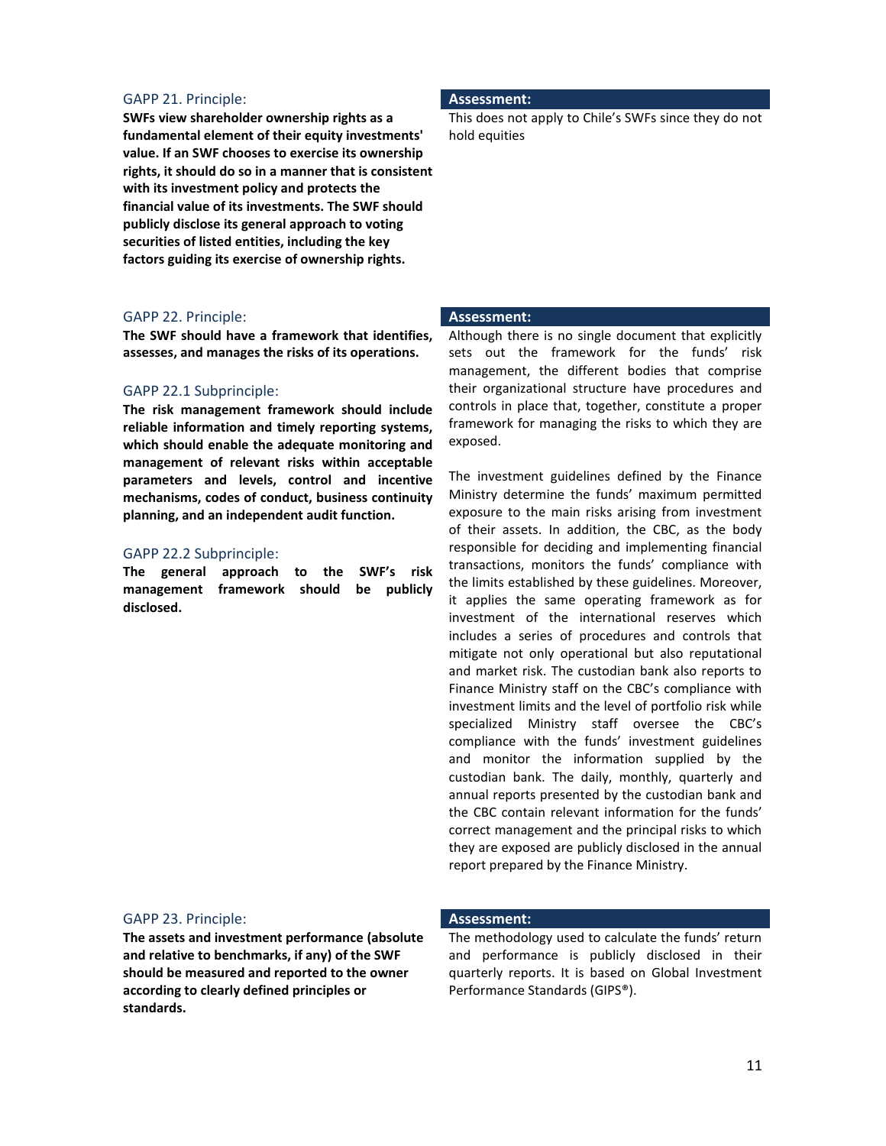# GAPP 21. Principle: **Assessment:**

**SWFs view shareholder ownership rights as a fundamental element of their equity investments' value. If an SWF chooses to exercise its ownership rights, it should do so in a manner that is consistent with its investment policy and protects the financial value of its investments. The SWF should publicly disclose its general approach to voting securities of listed entities, including the key factors guiding its exercise of ownership rights.**

# GAPP 22. Principle: **Assessment:**

**The SWF should have a framework that identifies, assesses, and manages the risks of its operations.** 

### GAPP 22.1 Subprinciple:

**The risk management framework should include reliable information and timely reporting systems, which should enable the adequate monitoring and management of relevant risks within acceptable parameters and levels, control and incentive mechanisms, codes of conduct, business continuity planning, and an independent audit function.** 

### GAPP 22.2 Subprinciple:

**The general approach to the SWF's risk management framework should be publicly disclosed.** 

This does not apply to Chile's SWFs since they do not hold equities

Although there is no single document that explicitly sets out the framework for the funds' risk management, the different bodies that comprise their organizational structure have procedures and controls in place that, together, constitute a proper framework for managing the risks to which they are exposed.

The investment guidelines defined by the Finance Ministry determine the funds' maximum permitted exposure to the main risks arising from investment of their assets. In addition, the CBC, as the body responsible for deciding and implementing financial transactions, monitors the funds' compliance with the limits established by these guidelines. Moreover, it applies the same operating framework as for investment of the international reserves which includes a series of procedures and controls that mitigate not only operational but also reputational and market risk. The custodian bank also reports to Finance Ministry staff on the CBC's compliance with investment limits and the level of portfolio risk while specialized Ministry staff oversee the CBC's compliance with the funds' investment guidelines and monitor the information supplied by the custodian bank. The daily, monthly, quarterly and annual reports presented by the custodian bank and the CBC contain relevant information for the funds' correct management and the principal risks to which they are exposed are publicly disclosed in the annual report prepared by the Finance Ministry.

### GAPP 23. Principle: **Assessment:**

**The assets and investment performance (absolute and relative to benchmarks, if any) of the SWF should be measured and reported to the owner according to clearly defined principles or standards.**

The methodology used to calculate the funds' return and performance is publicly disclosed in their quarterly reports. It is based on Global Investment Performance Standards (GIPS®).